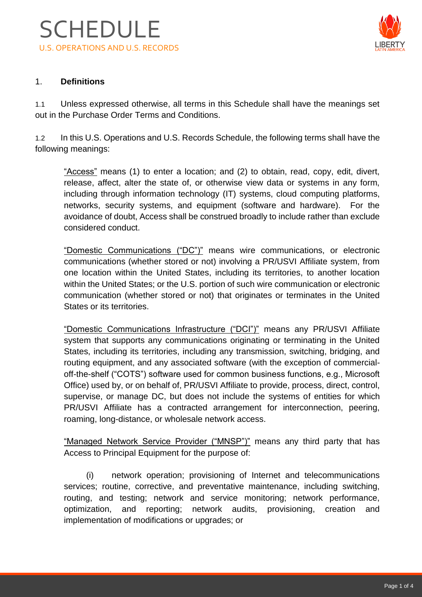

## 1. **Definitions**

1.1 Unless expressed otherwise, all terms in this Schedule shall have the meanings set out in the Purchase Order Terms and Conditions.

1.2 In this U.S. Operations and U.S. Records Schedule, the following terms shall have the following meanings:

"Access" means (1) to enter a location; and (2) to obtain, read, copy, edit, divert, release, affect, alter the state of, or otherwise view data or systems in any form, including through information technology (IT) systems, cloud computing platforms, networks, security systems, and equipment (software and hardware). For the avoidance of doubt, Access shall be construed broadly to include rather than exclude considered conduct.

"Domestic Communications ("DC")" means wire communications, or electronic communications (whether stored or not) involving a PR/USVI Affiliate system, from one location within the United States, including its territories, to another location within the United States; or the U.S. portion of such wire communication or electronic communication (whether stored or not) that originates or terminates in the United States or its territories.

"Domestic Communications Infrastructure ("DCI")" means any PR/USVI Affiliate system that supports any communications originating or terminating in the United States, including its territories, including any transmission, switching, bridging, and routing equipment, and any associated software (with the exception of commercialoff-the-shelf ("COTS") software used for common business functions, e.g., Microsoft Office) used by, or on behalf of, PR/USVI Affiliate to provide, process, direct, control, supervise, or manage DC, but does not include the systems of entities for which PR/USVI Affiliate has a contracted arrangement for interconnection, peering, roaming, long-distance, or wholesale network access.

"Managed Network Service Provider ("MNSP")" means any third party that has Access to Principal Equipment for the purpose of:

(i) network operation; provisioning of Internet and telecommunications services; routine, corrective, and preventative maintenance, including switching, routing, and testing; network and service monitoring; network performance, optimization, and reporting; network audits, provisioning, creation and implementation of modifications or upgrades; or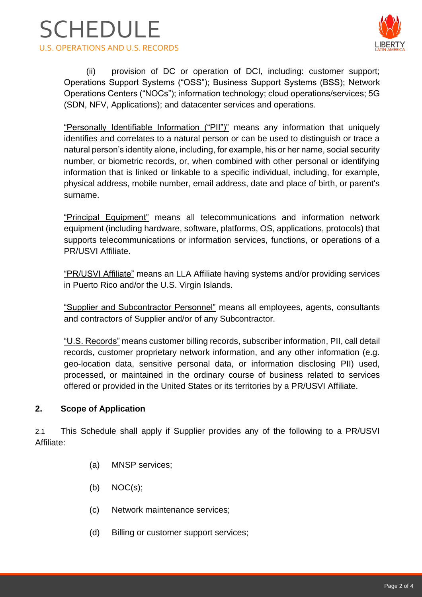



(ii) provision of DC or operation of DCI, including: customer support; Operations Support Systems ("OSS"); Business Support Systems (BSS); Network Operations Centers ("NOCs"); information technology; cloud operations/services; 5G (SDN, NFV, Applications); and datacenter services and operations.

"Personally Identifiable Information ("PII")" means any information that uniquely identifies and correlates to a natural person or can be used to distinguish or trace a natural person's identity alone, including, for example, his or her name, social security number, or biometric records, or, when combined with other personal or identifying information that is linked or linkable to a specific individual, including, for example, physical address, mobile number, email address, date and place of birth, or parent's surname.

"Principal Equipment" means all telecommunications and information network equipment (including hardware, software, platforms, OS, applications, protocols) that supports telecommunications or information services, functions, or operations of a PR/USVI Affiliate.

"PR/USVI Affiliate" means an LLA Affiliate having systems and/or providing services in Puerto Rico and/or the U.S. Virgin Islands.

"Supplier and Subcontractor Personnel" means all employees, agents, consultants and contractors of Supplier and/or of any Subcontractor.

"U.S. Records" means customer billing records, subscriber information, PII, call detail records, customer proprietary network information, and any other information (e.g. geo-location data, sensitive personal data, or information disclosing PII) used, processed, or maintained in the ordinary course of business related to services offered or provided in the United States or its territories by a PR/USVI Affiliate.

# **2. Scope of Application**

2.1 This Schedule shall apply if Supplier provides any of the following to a PR/USVI Affiliate:

- (a) MNSP services;
- $(b) \quad NOC(s);$
- (c) Network maintenance services;
- (d) Billing or customer support services;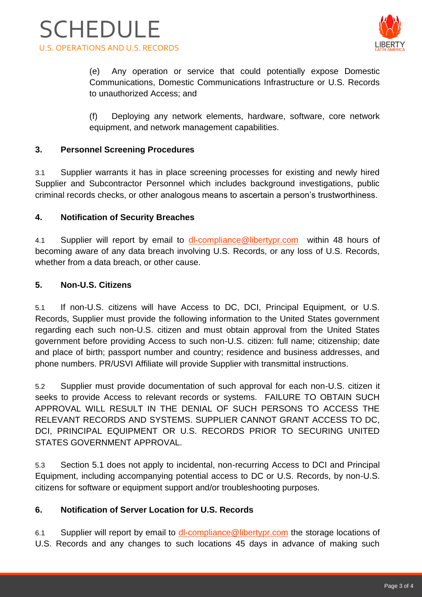



(e) Any operation or service that could potentially expose Domestic Communications, Domestic Communications Infrastructure or U.S. Records to unauthorized Access; and

(f) Deploying any network elements, hardware, software, core network equipment, and network management capabilities.

## **3. Personnel Screening Procedures**

3.1 Supplier warrants it has in place screening processes for existing and newly hired Supplier and Subcontractor Personnel which includes background investigations, public criminal records checks, or other analogous means to ascertain a person's trustworthiness.

## **4. Notification of Security Breaches**

4.1 Supplier will report by email to [dl-compliance@libertypr.com](mailto:dl-compliance@libertypr.com) within 48 hours of becoming aware of any data breach involving U.S. Records, or any loss of U.S. Records, whether from a data breach, or other cause.

## **5. Non-U.S. Citizens**

5.1 If non-U.S. citizens will have Access to DC, DCI, Principal Equipment, or U.S. Records, Supplier must provide the following information to the United States government regarding each such non-U.S. citizen and must obtain approval from the United States government before providing Access to such non-U.S. citizen: full name; citizenship; date and place of birth; passport number and country; residence and business addresses, and phone numbers. PR/USVI Affiliate will provide Supplier with transmittal instructions.

5.2 Supplier must provide documentation of such approval for each non-U.S. citizen it seeks to provide Access to relevant records or systems. FAILURE TO OBTAIN SUCH APPROVAL WILL RESULT IN THE DENIAL OF SUCH PERSONS TO ACCESS THE RELEVANT RECORDS AND SYSTEMS. SUPPLIER CANNOT GRANT ACCESS TO DC, DCI, PRINCIPAL EQUIPMENT OR U.S. RECORDS PRIOR TO SECURING UNITED STATES GOVERNMENT APPROVAL.

5.3 Section 5.1 does not apply to incidental, non-recurring Access to DCI and Principal Equipment, including accompanying potential access to DC or U.S. Records, by non-U.S. citizens for software or equipment support and/or troubleshooting purposes.

# **6. Notification of Server Location for U.S. Records**

6.1 Supplier will report by email to [dl-compliance@libertypr.com](mailto:dl-compliance@libertypr.com) the storage locations of U.S. Records and any changes to such locations 45 days in advance of making such